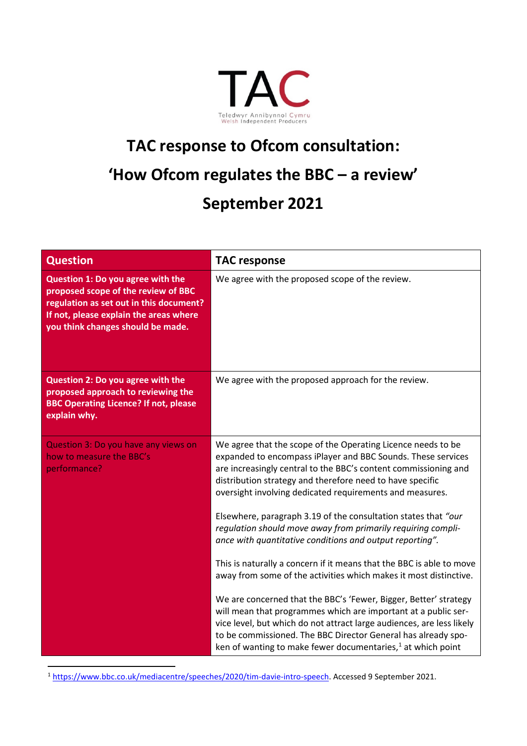

## **TAC response to Ofcom consultation: 'How Ofcom regulates the BBC – a review' September 2021**

| <b>Question</b>                                                                                                                                                                                    | <b>TAC response</b>                                                                                                                                                                                                                                                                                                                            |
|----------------------------------------------------------------------------------------------------------------------------------------------------------------------------------------------------|------------------------------------------------------------------------------------------------------------------------------------------------------------------------------------------------------------------------------------------------------------------------------------------------------------------------------------------------|
| Question 1: Do you agree with the<br>proposed scope of the review of BBC<br>regulation as set out in this document?<br>If not, please explain the areas where<br>you think changes should be made. | We agree with the proposed scope of the review.                                                                                                                                                                                                                                                                                                |
| Question 2: Do you agree with the<br>proposed approach to reviewing the<br><b>BBC Operating Licence? If not, please</b><br>explain why.                                                            | We agree with the proposed approach for the review.                                                                                                                                                                                                                                                                                            |
| Question 3: Do you have any views on<br>how to measure the BBC's<br>performance?                                                                                                                   | We agree that the scope of the Operating Licence needs to be<br>expanded to encompass iPlayer and BBC Sounds. These services<br>are increasingly central to the BBC's content commissioning and<br>distribution strategy and therefore need to have specific<br>oversight involving dedicated requirements and measures.                       |
|                                                                                                                                                                                                    | Elsewhere, paragraph 3.19 of the consultation states that "our<br>regulation should move away from primarily requiring compli-<br>ance with quantitative conditions and output reporting".                                                                                                                                                     |
|                                                                                                                                                                                                    | This is naturally a concern if it means that the BBC is able to move<br>away from some of the activities which makes it most distinctive.                                                                                                                                                                                                      |
|                                                                                                                                                                                                    | We are concerned that the BBC's 'Fewer, Bigger, Better' strategy<br>will mean that programmes which are important at a public ser-<br>vice level, but which do not attract large audiences, are less likely<br>to be commissioned. The BBC Director General has already spo-<br>ken of wanting to make fewer documentaries, $1$ at which point |

<span id="page-0-0"></span>1 [https://www.bbc.co.uk/mediacentre/speeches/2020/tim-davie-intro-speech.](https://www.bbc.co.uk/mediacentre/speeches/2020/tim-davie-intro-speech) Accessed 9 September 2021.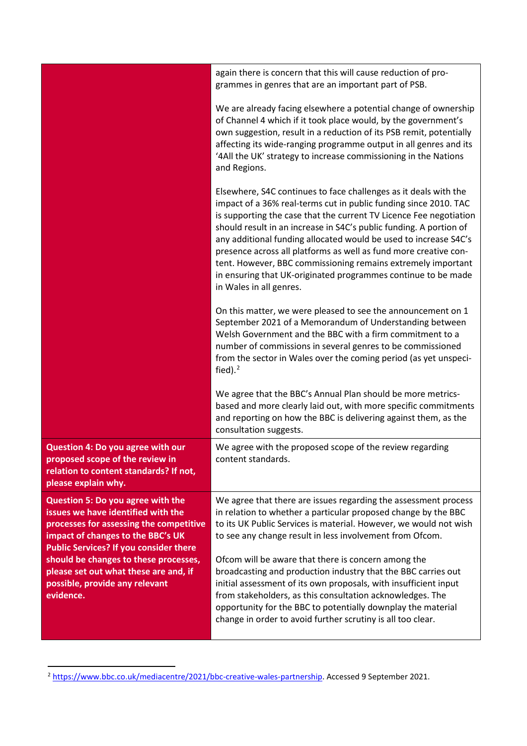|                                                                                                                                                                                                          | again there is concern that this will cause reduction of pro-<br>grammes in genres that are an important part of PSB.                                                                                                                                                                                                                                                                                                                                                                                                                                                                |
|----------------------------------------------------------------------------------------------------------------------------------------------------------------------------------------------------------|--------------------------------------------------------------------------------------------------------------------------------------------------------------------------------------------------------------------------------------------------------------------------------------------------------------------------------------------------------------------------------------------------------------------------------------------------------------------------------------------------------------------------------------------------------------------------------------|
|                                                                                                                                                                                                          | We are already facing elsewhere a potential change of ownership<br>of Channel 4 which if it took place would, by the government's<br>own suggestion, result in a reduction of its PSB remit, potentially<br>affecting its wide-ranging programme output in all genres and its<br>'4All the UK' strategy to increase commissioning in the Nations<br>and Regions.                                                                                                                                                                                                                     |
|                                                                                                                                                                                                          | Elsewhere, S4C continues to face challenges as it deals with the<br>impact of a 36% real-terms cut in public funding since 2010. TAC<br>is supporting the case that the current TV Licence Fee negotiation<br>should result in an increase in S4C's public funding. A portion of<br>any additional funding allocated would be used to increase S4C's<br>presence across all platforms as well as fund more creative con-<br>tent. However, BBC commissioning remains extremely important<br>in ensuring that UK-originated programmes continue to be made<br>in Wales in all genres. |
|                                                                                                                                                                                                          | On this matter, we were pleased to see the announcement on 1<br>September 2021 of a Memorandum of Understanding between<br>Welsh Government and the BBC with a firm commitment to a<br>number of commissions in several genres to be commissioned<br>from the sector in Wales over the coming period (as yet unspeci-<br>fied). $2$                                                                                                                                                                                                                                                  |
|                                                                                                                                                                                                          | We agree that the BBC's Annual Plan should be more metrics-<br>based and more clearly laid out, with more specific commitments<br>and reporting on how the BBC is delivering against them, as the<br>consultation suggests.                                                                                                                                                                                                                                                                                                                                                          |
| Question 4: Do you agree with our<br>proposed scope of the review in<br>relation to content standards? If not,<br>please explain why.                                                                    | We agree with the proposed scope of the review regarding<br>content standards.                                                                                                                                                                                                                                                                                                                                                                                                                                                                                                       |
| Question 5: Do you agree with the<br>issues we have identified with the<br>processes for assessing the competitive<br>impact of changes to the BBC's UK<br><b>Public Services? If you consider there</b> | We agree that there are issues regarding the assessment process<br>in relation to whether a particular proposed change by the BBC<br>to its UK Public Services is material. However, we would not wish<br>to see any change result in less involvement from Ofcom.                                                                                                                                                                                                                                                                                                                   |
| should be changes to these processes,<br>please set out what these are and, if<br>possible, provide any relevant<br>evidence.                                                                            | Ofcom will be aware that there is concern among the<br>broadcasting and production industry that the BBC carries out<br>initial assessment of its own proposals, with insufficient input<br>from stakeholders, as this consultation acknowledges. The<br>opportunity for the BBC to potentially downplay the material<br>change in order to avoid further scrutiny is all too clear.                                                                                                                                                                                                 |

<span id="page-1-0"></span><sup>&</sup>lt;sup>2</sup> [https://www.bbc.co.uk/mediacentre/2021/bbc-creative-wales-partnership.](https://www.bbc.co.uk/mediacentre/2021/bbc-creative-wales-partnership) Accessed 9 September 2021.